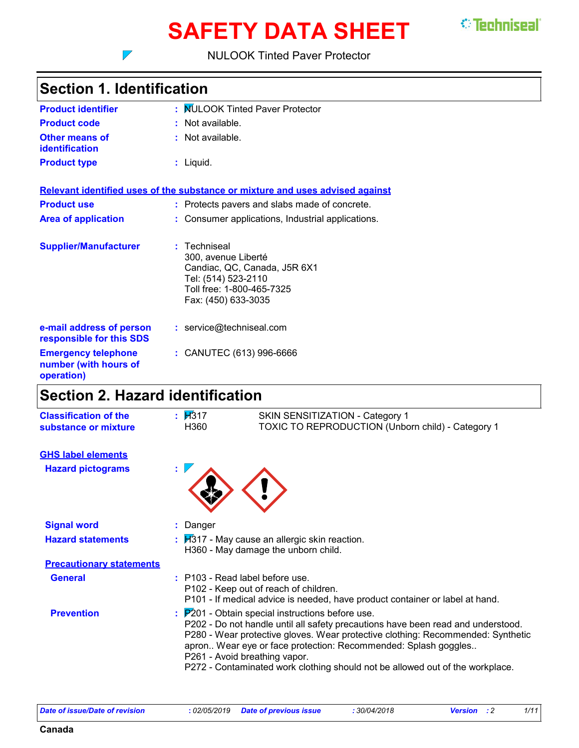# **SAFETY DATA SHEET**

*<u>\*\* Techniseal</u>* 

#### NULOOK Tinted Paver Protector

### **Section 1. Identification**

 $\overline{\phantom{a}}$ 

| <b>Product identifier</b>                                         | : MULOOK Tinted Paver Protector                                                                                                              |
|-------------------------------------------------------------------|----------------------------------------------------------------------------------------------------------------------------------------------|
| <b>Product code</b>                                               | : Not available.                                                                                                                             |
| <b>Other means of</b><br><b>identification</b>                    | : Not available.                                                                                                                             |
| <b>Product type</b>                                               | : Liquid.                                                                                                                                    |
|                                                                   | Relevant identified uses of the substance or mixture and uses advised against                                                                |
| <b>Product use</b>                                                | : Protects pavers and slabs made of concrete.                                                                                                |
| <b>Area of application</b>                                        | : Consumer applications, Industrial applications.                                                                                            |
| <b>Supplier/Manufacturer</b>                                      | Techniseal<br>300, avenue Liberté<br>Candiac, QC, Canada, J5R 6X1<br>Tel: (514) 523-2110<br>Toll free: 1-800-465-7325<br>Fax: (450) 633-3035 |
| e-mail address of person<br>responsible for this SDS              | : service@techniseal.com                                                                                                                     |
| <b>Emergency telephone</b><br>number (with hours of<br>operation) | : CANUTEC (613) 996-6666                                                                                                                     |
|                                                                   |                                                                                                                                              |

### **Section 2. Hazard identification**

| <b>Classification of the</b><br>substance or mixture | $\mathbf{H}$ 317<br>H360 | SKIN SENSITIZATION - Category 1<br>TOXIC TO REPRODUCTION (Unborn child) - Category 1                                                                                                                                                                                                                                                                                                                                                   |
|------------------------------------------------------|--------------------------|----------------------------------------------------------------------------------------------------------------------------------------------------------------------------------------------------------------------------------------------------------------------------------------------------------------------------------------------------------------------------------------------------------------------------------------|
| <b>GHS label elements</b>                            |                          |                                                                                                                                                                                                                                                                                                                                                                                                                                        |
| <b>Hazard pictograms</b>                             |                          |                                                                                                                                                                                                                                                                                                                                                                                                                                        |
| <b>Signal word</b>                                   | : Danger                 |                                                                                                                                                                                                                                                                                                                                                                                                                                        |
| <b>Hazard statements</b>                             |                          | $\frac{1}{2}$ $\frac{1}{2}$ May cause an allergic skin reaction.<br>H360 - May damage the unborn child.                                                                                                                                                                                                                                                                                                                                |
| <b>Precautionary statements</b>                      |                          |                                                                                                                                                                                                                                                                                                                                                                                                                                        |
| <b>General</b>                                       |                          | $:$ P103 - Read label before use.<br>P102 - Keep out of reach of children.<br>P101 - If medical advice is needed, have product container or label at hand.                                                                                                                                                                                                                                                                             |
| <b>Prevention</b>                                    |                          | $\frac{1}{2}$ $\mathbb{P}^{2}$ 01 - Obtain special instructions before use.<br>P202 - Do not handle until all safety precautions have been read and understood.<br>P280 - Wear protective gloves. Wear protective clothing: Recommended: Synthetic<br>apron Wear eye or face protection: Recommended: Splash goggles<br>P261 - Avoid breathing vapor.<br>P272 - Contaminated work clothing should not be allowed out of the workplace. |

**Canada**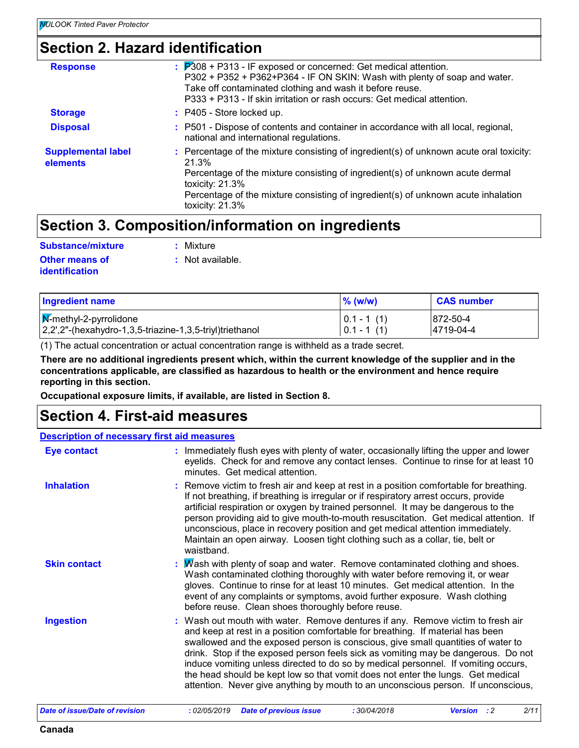### **Section 2. Hazard identification**

| <b>Response</b>                       | $\therefore$ $\mathbb{P}308$ + P313 - IF exposed or concerned: Get medical attention.<br>P302 + P352 + P362+P364 - IF ON SKIN: Wash with plenty of soap and water.<br>Take off contaminated clothing and wash it before reuse.<br>P333 + P313 - If skin irritation or rash occurs: Get medical attention.       |
|---------------------------------------|-----------------------------------------------------------------------------------------------------------------------------------------------------------------------------------------------------------------------------------------------------------------------------------------------------------------|
| <b>Storage</b>                        | $:$ P405 - Store locked up.                                                                                                                                                                                                                                                                                     |
| <b>Disposal</b>                       | : P501 - Dispose of contents and container in accordance with all local, regional,<br>national and international regulations.                                                                                                                                                                                   |
| <b>Supplemental label</b><br>elements | : Percentage of the mixture consisting of ingredient(s) of unknown acute oral toxicity:<br>21.3%<br>Percentage of the mixture consisting of ingredient(s) of unknown acute dermal<br>toxicity: $21.3\%$<br>Percentage of the mixture consisting of ingredient(s) of unknown acute inhalation<br>toxicity: 21.3% |

### **Section 3. Composition/information on ingredients**

| Substance/mixture                       | : Mixture        |
|-----------------------------------------|------------------|
| Other means of<br><b>identification</b> | : Not available. |

| <b>Ingredient name</b>                                                                                     | $%$ (w/w)                      | <b>CAS number</b>      |
|------------------------------------------------------------------------------------------------------------|--------------------------------|------------------------|
| $\sqrt{\mathbf{M}}$ -methyl-2-pyrrolidone<br>2,2',2"-(hexahydro-1,3,5-triazine-1,3,5-triyl)triethanol      | $ 0.1 - 1(1) $<br>$0.1 - 1(1)$ | 1872-50-4<br>4719-04-4 |
| (1) The actual concentration or actual concentration range is withheld as a trade secret.                  |                                |                        |
| There are no additional ingredients present which, within the current knowledge of the supplier and in the |                                |                        |

**concentrations applicable, are classified as hazardous to health or the environment and hence require reporting in this section.**

**Occupational exposure limits, if available, are listed in Section 8.**

### **Section 4. First-aid measures**

#### **Description of necessary first aid measures**

| <b>Eye contact</b>  | : Immediately flush eyes with plenty of water, occasionally lifting the upper and lower<br>eyelids. Check for and remove any contact lenses. Continue to rinse for at least 10<br>minutes. Get medical attention.                                                                                                                                                                                                                                                                                                                                                                                        |
|---------------------|----------------------------------------------------------------------------------------------------------------------------------------------------------------------------------------------------------------------------------------------------------------------------------------------------------------------------------------------------------------------------------------------------------------------------------------------------------------------------------------------------------------------------------------------------------------------------------------------------------|
| <b>Inhalation</b>   | : Remove victim to fresh air and keep at rest in a position comfortable for breathing.<br>If not breathing, if breathing is irregular or if respiratory arrest occurs, provide<br>artificial respiration or oxygen by trained personnel. It may be dangerous to the<br>person providing aid to give mouth-to-mouth resuscitation. Get medical attention. If<br>unconscious, place in recovery position and get medical attention immediately.<br>Maintain an open airway. Loosen tight clothing such as a collar, tie, belt or<br>waistband.                                                             |
| <b>Skin contact</b> | : Mash with plenty of soap and water. Remove contaminated clothing and shoes.<br>Wash contaminated clothing thoroughly with water before removing it, or wear<br>gloves. Continue to rinse for at least 10 minutes. Get medical attention. In the<br>event of any complaints or symptoms, avoid further exposure. Wash clothing<br>before reuse. Clean shoes thoroughly before reuse.                                                                                                                                                                                                                    |
| <b>Ingestion</b>    | : Wash out mouth with water. Remove dentures if any. Remove victim to fresh air<br>and keep at rest in a position comfortable for breathing. If material has been<br>swallowed and the exposed person is conscious, give small quantities of water to<br>drink. Stop if the exposed person feels sick as vomiting may be dangerous. Do not<br>induce vomiting unless directed to do so by medical personnel. If vomiting occurs,<br>the head should be kept low so that vomit does not enter the lungs. Get medical<br>attention. Never give anything by mouth to an unconscious person. If unconscious, |

| Date of issue/Date of revision | : 02/05/2019 <b>Date of previous issue</b> | 30/04/2018 | <b>Version</b> : 2 | 2/11 |  |
|--------------------------------|--------------------------------------------|------------|--------------------|------|--|
|--------------------------------|--------------------------------------------|------------|--------------------|------|--|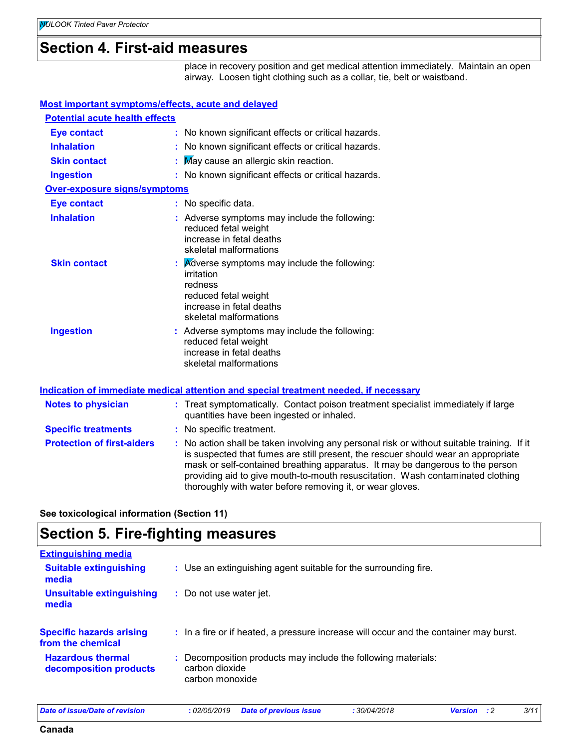### **Section 4. First-aid measures**

place in recovery position and get medical attention immediately. Maintain an open airway. Loosen tight clothing such as a collar, tie, belt or waistband.

#### **Most important symptoms/effects, acute and delayed**

| <b>Potential acute health effects</b> |    |                                                                                                                                                                        |
|---------------------------------------|----|------------------------------------------------------------------------------------------------------------------------------------------------------------------------|
| <b>Eye contact</b>                    |    | : No known significant effects or critical hazards.                                                                                                                    |
| <b>Inhalation</b>                     |    | : No known significant effects or critical hazards.                                                                                                                    |
| <b>Skin contact</b>                   | t. | May cause an allergic skin reaction.                                                                                                                                   |
| <b>Ingestion</b>                      |    | : No known significant effects or critical hazards.                                                                                                                    |
| <b>Over-exposure signs/symptoms</b>   |    |                                                                                                                                                                        |
| <b>Eye contact</b>                    |    | : No specific data.                                                                                                                                                    |
| <b>Inhalation</b>                     |    | : Adverse symptoms may include the following:<br>reduced fetal weight<br>increase in fetal deaths<br>skeletal malformations                                            |
| <b>Skin contact</b>                   |    | $\mathbf{R}$ <i>Adverse symptoms may include the following:</i><br>irritation<br>redness<br>reduced fetal weight<br>increase in fetal deaths<br>skeletal malformations |
| <b>Ingestion</b>                      |    | : Adverse symptoms may include the following:<br>reduced fetal weight<br>increase in fetal deaths<br>skeletal malformations                                            |
|                                       |    | <u>Indication of immediate medical attention and special treatment needed, if necessary</u>                                                                            |

#### **Protection of first-aiders :** No action shall be taken involving any personal risk or without suitable training. If it is suspected that fumes are still present, the rescuer should wear an appropriate mask or self-contained breathing apparatus. It may be dangerous to the person providing aid to give mouth-to-mouth resuscitation. Wash contaminated clothing thoroughly with water before removing it, or wear gloves. **Notes to physician : Treat symptomatically. Contact poison treatment specialist immediately if large** quantities have been ingested or inhaled. **Specific treatments :** No specific treatment.

**See toxicological information (Section 11)**

### **Section 5. Fire-fighting measures**

| : Use an extinguishing agent suitable for the surrounding fire.                                    |
|----------------------------------------------------------------------------------------------------|
| : Do not use water jet.                                                                            |
| : In a fire or if heated, a pressure increase will occur and the container may burst.              |
| : Decomposition products may include the following materials:<br>carbon dioxide<br>carbon monoxide |
|                                                                                                    |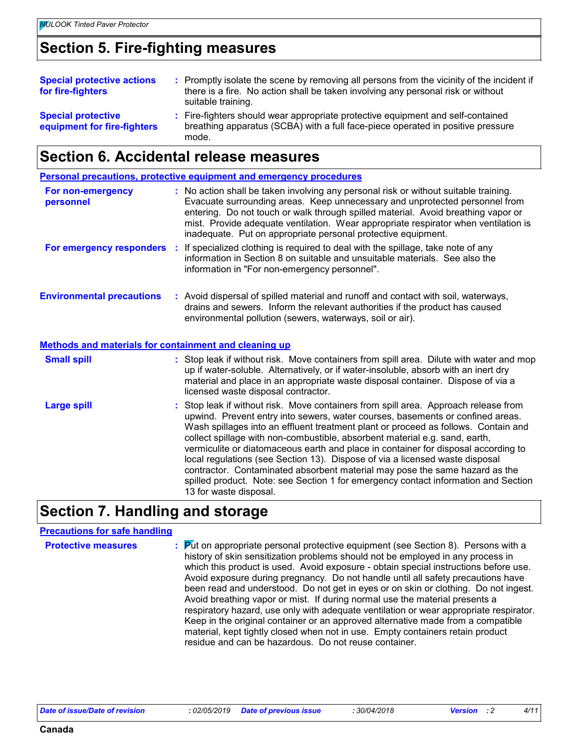### **Section 5. Fire-fighting measures**

| <b>Special protective actions</b><br>for fire-fighters   | : Promptly isolate the scene by removing all persons from the vicinity of the incident if<br>there is a fire. No action shall be taken involving any personal risk or without<br>suitable training. |
|----------------------------------------------------------|-----------------------------------------------------------------------------------------------------------------------------------------------------------------------------------------------------|
| <b>Special protective</b><br>equipment for fire-fighters | : Fire-fighters should wear appropriate protective equipment and self-contained<br>breathing apparatus (SCBA) with a full face-piece operated in positive pressure<br>mode.                         |

### **Section 6. Accidental release measures**

|                                                              | <b>Personal precautions, protective equipment and emergency procedures</b>                                                                                                                                                                                                                                                                                                                                                                                                                                                                                                                                                                                                                                      |
|--------------------------------------------------------------|-----------------------------------------------------------------------------------------------------------------------------------------------------------------------------------------------------------------------------------------------------------------------------------------------------------------------------------------------------------------------------------------------------------------------------------------------------------------------------------------------------------------------------------------------------------------------------------------------------------------------------------------------------------------------------------------------------------------|
| For non-emergency<br>personnel                               | : No action shall be taken involving any personal risk or without suitable training.<br>Evacuate surrounding areas. Keep unnecessary and unprotected personnel from<br>entering. Do not touch or walk through spilled material. Avoid breathing vapor or<br>mist. Provide adequate ventilation. Wear appropriate respirator when ventilation is<br>inadequate. Put on appropriate personal protective equipment.                                                                                                                                                                                                                                                                                                |
| For emergency responders :                                   | If specialized clothing is required to deal with the spillage, take note of any<br>information in Section 8 on suitable and unsuitable materials. See also the<br>information in "For non-emergency personnel".                                                                                                                                                                                                                                                                                                                                                                                                                                                                                                 |
| <b>Environmental precautions</b>                             | : Avoid dispersal of spilled material and runoff and contact with soil, waterways,<br>drains and sewers. Inform the relevant authorities if the product has caused<br>environmental pollution (sewers, waterways, soil or air).                                                                                                                                                                                                                                                                                                                                                                                                                                                                                 |
| <b>Methods and materials for containment and cleaning up</b> |                                                                                                                                                                                                                                                                                                                                                                                                                                                                                                                                                                                                                                                                                                                 |
| <b>Small spill</b>                                           | : Stop leak if without risk. Move containers from spill area. Dilute with water and mop<br>up if water-soluble. Alternatively, or if water-insoluble, absorb with an inert dry<br>material and place in an appropriate waste disposal container. Dispose of via a<br>licensed waste disposal contractor.                                                                                                                                                                                                                                                                                                                                                                                                        |
| <b>Large spill</b>                                           | : Stop leak if without risk. Move containers from spill area. Approach release from<br>upwind. Prevent entry into sewers, water courses, basements or confined areas.<br>Wash spillages into an effluent treatment plant or proceed as follows. Contain and<br>collect spillage with non-combustible, absorbent material e.g. sand, earth,<br>vermiculite or diatomaceous earth and place in container for disposal according to<br>local regulations (see Section 13). Dispose of via a licensed waste disposal<br>contractor. Contaminated absorbent material may pose the same hazard as the<br>spilled product. Note: see Section 1 for emergency contact information and Section<br>13 for waste disposal. |

### **Section 7. Handling and storage**

#### **Precautions for safe handling**

**Protective measures : Put on appropriate personal protective equipment (see Section 8). Persons with a vertion of the original protection of the angle of the measures** history of skin sensitization problems should not be employed in any process in which this product is used. Avoid exposure - obtain special instructions before use. Avoid exposure during pregnancy. Do not handle until all safety precautions have been read and understood. Do not get in eyes or on skin or clothing. Do not ingest. Avoid breathing vapor or mist. If during normal use the material presents a respiratory hazard, use only with adequate ventilation or wear appropriate respirator. Keep in the original container or an approved alternative made from a compatible material, kept tightly closed when not in use. Empty containers retain product residue and can be hazardous. Do not reuse container.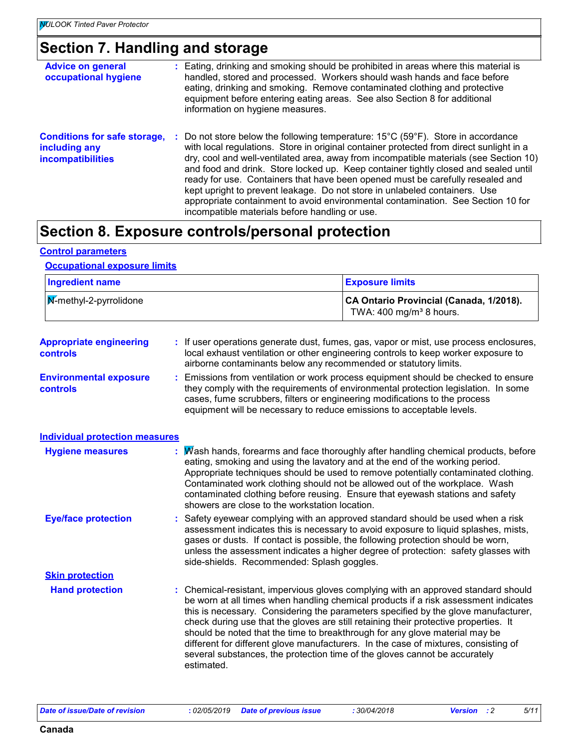# **Section 7. Handling and storage**

| <b>Advice on general</b><br>occupational hygiene                                 | : Eating, drinking and smoking should be prohibited in areas where this material is<br>handled, stored and processed. Workers should wash hands and face before<br>eating, drinking and smoking. Remove contaminated clothing and protective<br>equipment before entering eating areas. See also Section 8 for additional<br>information on hygiene measures.                                                                                                                                                                                                                                                                                                                          |
|----------------------------------------------------------------------------------|----------------------------------------------------------------------------------------------------------------------------------------------------------------------------------------------------------------------------------------------------------------------------------------------------------------------------------------------------------------------------------------------------------------------------------------------------------------------------------------------------------------------------------------------------------------------------------------------------------------------------------------------------------------------------------------|
| <b>Conditions for safe storage,</b><br>including any<br><b>incompatibilities</b> | : Do not store below the following temperature: $15^{\circ}$ C (59 $^{\circ}$ F). Store in accordance<br>with local regulations. Store in original container protected from direct sunlight in a<br>dry, cool and well-ventilated area, away from incompatible materials (see Section 10)<br>and food and drink. Store locked up. Keep container tightly closed and sealed until<br>ready for use. Containers that have been opened must be carefully resealed and<br>kept upright to prevent leakage. Do not store in unlabeled containers. Use<br>appropriate containment to avoid environmental contamination. See Section 10 for<br>incompatible materials before handling or use. |

### **Section 8. Exposure controls/personal protection**

#### **Control parameters**

#### **Occupational exposure limits**

| <b>Ingredient name</b>                     |                                                | <b>Exposure limits</b>                                                                                                                                                                                                                                                                                                                                                                                                                                                                                                                                                                                      |
|--------------------------------------------|------------------------------------------------|-------------------------------------------------------------------------------------------------------------------------------------------------------------------------------------------------------------------------------------------------------------------------------------------------------------------------------------------------------------------------------------------------------------------------------------------------------------------------------------------------------------------------------------------------------------------------------------------------------------|
| M-methyl-2-pyrrolidone                     |                                                | CA Ontario Provincial (Canada, 1/2018).<br>TWA: 400 mg/m <sup>3</sup> 8 hours.                                                                                                                                                                                                                                                                                                                                                                                                                                                                                                                              |
| <b>Appropriate engineering</b><br>controls |                                                | : If user operations generate dust, fumes, gas, vapor or mist, use process enclosures,<br>local exhaust ventilation or other engineering controls to keep worker exposure to<br>airborne contaminants below any recommended or statutory limits.                                                                                                                                                                                                                                                                                                                                                            |
| <b>Environmental exposure</b><br>controls  |                                                | Emissions from ventilation or work process equipment should be checked to ensure<br>they comply with the requirements of environmental protection legislation. In some<br>cases, fume scrubbers, filters or engineering modifications to the process<br>equipment will be necessary to reduce emissions to acceptable levels.                                                                                                                                                                                                                                                                               |
| <b>Individual protection measures</b>      |                                                |                                                                                                                                                                                                                                                                                                                                                                                                                                                                                                                                                                                                             |
| <b>Hygiene measures</b>                    | showers are close to the workstation location. | Wash hands, forearms and face thoroughly after handling chemical products, before<br>eating, smoking and using the lavatory and at the end of the working period.<br>Appropriate techniques should be used to remove potentially contaminated clothing.<br>Contaminated work clothing should not be allowed out of the workplace. Wash<br>contaminated clothing before reusing. Ensure that eyewash stations and safety                                                                                                                                                                                     |
| <b>Eye/face protection</b>                 | side-shields. Recommended: Splash goggles.     | : Safety eyewear complying with an approved standard should be used when a risk<br>assessment indicates this is necessary to avoid exposure to liquid splashes, mists,<br>gases or dusts. If contact is possible, the following protection should be worn,<br>unless the assessment indicates a higher degree of protection: safety glasses with                                                                                                                                                                                                                                                            |
| <b>Skin protection</b>                     |                                                |                                                                                                                                                                                                                                                                                                                                                                                                                                                                                                                                                                                                             |
| <b>Hand protection</b>                     | estimated.                                     | : Chemical-resistant, impervious gloves complying with an approved standard should<br>be worn at all times when handling chemical products if a risk assessment indicates<br>this is necessary. Considering the parameters specified by the glove manufacturer,<br>check during use that the gloves are still retaining their protective properties. It<br>should be noted that the time to breakthrough for any glove material may be<br>different for different glove manufacturers. In the case of mixtures, consisting of<br>several substances, the protection time of the gloves cannot be accurately |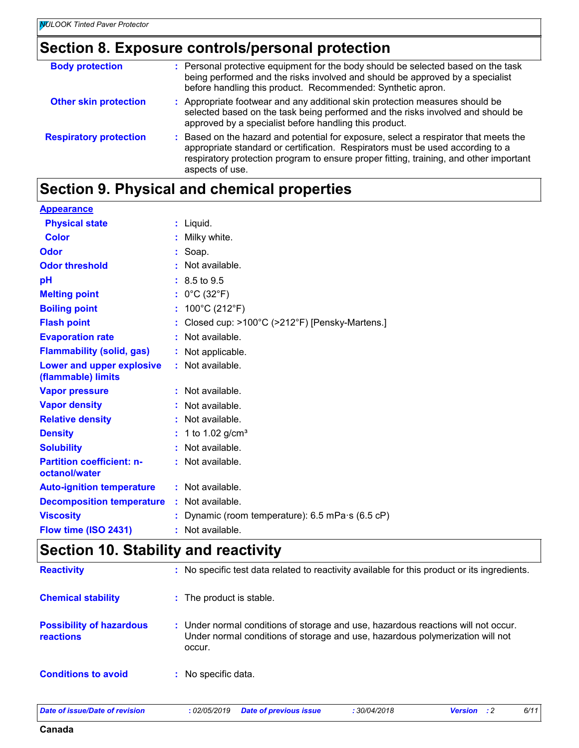### **Section 8. Exposure controls/personal protection**

| : Personal protective equipment for the body should be selected based on the task<br>being performed and the risks involved and should be approved by a specialist<br>before handling this product. Recommended: Synthetic apron.                                                   |
|-------------------------------------------------------------------------------------------------------------------------------------------------------------------------------------------------------------------------------------------------------------------------------------|
| : Appropriate footwear and any additional skin protection measures should be<br>selected based on the task being performed and the risks involved and should be<br>approved by a specialist before handling this product.                                                           |
| : Based on the hazard and potential for exposure, select a respirator that meets the<br>appropriate standard or certification. Respirators must be used according to a<br>respiratory protection program to ensure proper fitting, training, and other important<br>aspects of use. |
|                                                                                                                                                                                                                                                                                     |

# **Section 9. Physical and chemical properties**

| <b>Appearance</b>                                 |                                                             |
|---------------------------------------------------|-------------------------------------------------------------|
| <b>Physical state</b>                             | $:$ Liquid.                                                 |
| <b>Color</b>                                      | Milky white.                                                |
| Odor                                              | Soap.                                                       |
| <b>Odor threshold</b>                             | Not available.                                              |
| pH                                                | $: 8.5 \text{ to } 9.5$                                     |
| <b>Melting point</b>                              | $0^{\circ}$ C (32 $^{\circ}$ F)                             |
| <b>Boiling point</b>                              | 100°C (212°F)                                               |
| <b>Flash point</b>                                | Closed cup: >100°C (>212°F) [Pensky-Martens.]               |
| <b>Evaporation rate</b>                           | Not available.                                              |
| <b>Flammability (solid, gas)</b>                  | Not applicable.                                             |
| Lower and upper explosive<br>(flammable) limits   | Not available.                                              |
| <b>Vapor pressure</b>                             | Not available.                                              |
| <b>Vapor density</b>                              | Not available.                                              |
| <b>Relative density</b>                           | Not available.                                              |
| <b>Density</b>                                    | 1 to 1.02 $g/cm^{3}$                                        |
| <b>Solubility</b>                                 | Not available.                                              |
| <b>Partition coefficient: n-</b><br>octanol/water | Not available.                                              |
| <b>Auto-ignition temperature</b>                  | : Not available.                                            |
| <b>Decomposition temperature</b>                  | Not available.                                              |
| <b>Viscosity</b>                                  | Dynamic (room temperature): $6.5$ mPa $\cdot$ s ( $6.5$ cP) |
| Flow time (ISO 2431)                              | : Not available.                                            |

# **Section 10. Stability and reactivity**

| <b>Reactivity</b>                                   | : No specific test data related to reactivity available for this product or its ingredients.                                                                                 |
|-----------------------------------------------------|------------------------------------------------------------------------------------------------------------------------------------------------------------------------------|
| <b>Chemical stability</b>                           | : The product is stable.                                                                                                                                                     |
| <b>Possibility of hazardous</b><br><b>reactions</b> | : Under normal conditions of storage and use, hazardous reactions will not occur.<br>Under normal conditions of storage and use, hazardous polymerization will not<br>occur. |
| <b>Conditions to avoid</b>                          | No specific data.                                                                                                                                                            |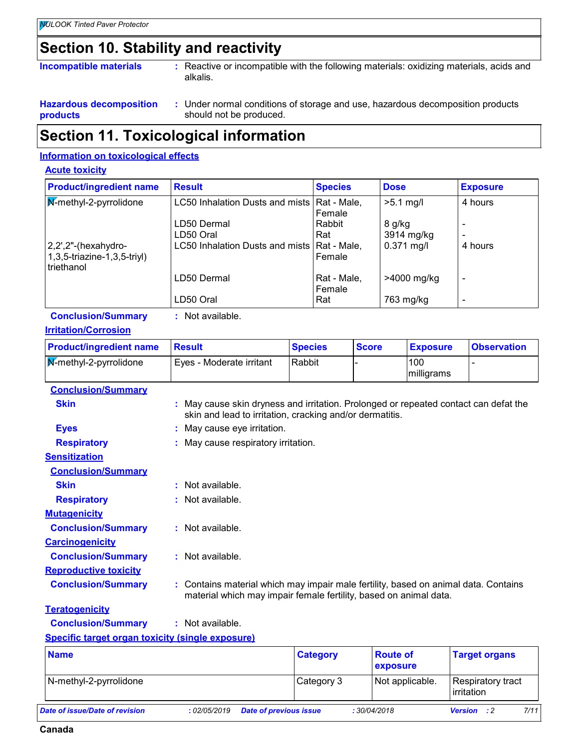# **Section 10. Stability and reactivity**

| Incompatible materials |
|------------------------|
|------------------------|

**Incompatible with the following materials: oxidizing materials, acids and incompatible with the following materials** alkalis.

- **Hazardous decomposition products**
	- Under normal conditions of storage and use, hazardous decomposition products **:** should not be produced.

### **Section 11. Toxicological information**

#### **Information on toxicological effects**

#### **Acute toxicity**

| <b>Product/ingredient name</b>                                       | <b>Result</b>                                 | <b>Species</b>        | <b>Dose</b>  | <b>Exposure</b> |
|----------------------------------------------------------------------|-----------------------------------------------|-----------------------|--------------|-----------------|
| $\sqrt{\mathbf{M}}$ -methyl-2-pyrrolidone                            | LC50 Inhalation Dusts and mists   Rat - Male, | Female                | $>5.1$ mg/l  | 4 hours         |
|                                                                      | LD50 Dermal                                   | Rabbit                | 8 g/kg       |                 |
|                                                                      | LD50 Oral                                     | Rat                   | 3914 mg/kg   |                 |
| $ 2,2$ ',2"-(hexahydro-<br>1,3,5-triazine-1,3,5-triyl)<br>triethanol | LC50 Inhalation Dusts and mists   Rat - Male, | <b>Female</b>         | $0.371$ mg/l | 4 hours         |
|                                                                      | LD50 Dermal                                   | Rat - Male,<br>Female | >4000 mg/kg  |                 |
|                                                                      | LD50 Oral                                     | Rat                   | 763 mg/kg    |                 |

**Conclusion/Summary :** Not available.

#### **Irritation/Corrosion**

| <b>Product/ingredient name</b> | Result                   | <b>Species</b> | <b>Score</b> | <b>Exposure</b>   | <b>Observation</b> |
|--------------------------------|--------------------------|----------------|--------------|-------------------|--------------------|
| M-methyl-2-pyrrolidone         | Eyes - Moderate irritant | Rabbit         |              | 100<br>milligrams |                    |
| <b>Conclusion/Summary</b>      |                          |                |              |                   |                    |

| <b>Conclusion/Summary</b>    |                                                                                                                                                          |
|------------------------------|----------------------------------------------------------------------------------------------------------------------------------------------------------|
| <b>Skin</b>                  | : May cause skin dryness and irritation. Prolonged or repeated contact can defat the<br>skin and lead to irritation, cracking and/or dermatitis.         |
| <b>Eyes</b>                  | : May cause eye irritation.                                                                                                                              |
| <b>Respiratory</b>           | : May cause respiratory irritation.                                                                                                                      |
| <b>Sensitization</b>         |                                                                                                                                                          |
| <b>Conclusion/Summary</b>    |                                                                                                                                                          |
| <b>Skin</b>                  | : Not available.                                                                                                                                         |
| <b>Respiratory</b>           | : Not available.                                                                                                                                         |
| <b>Mutagenicity</b>          |                                                                                                                                                          |
| <b>Conclusion/Summary</b>    | : Not available.                                                                                                                                         |
| <b>Carcinogenicity</b>       |                                                                                                                                                          |
| <b>Conclusion/Summary</b>    | : Not available.                                                                                                                                         |
| <b>Reproductive toxicity</b> |                                                                                                                                                          |
| <b>Conclusion/Summary</b>    | : Contains material which may impair male fertility, based on animal data. Contains<br>material which may impair female fertility, based on animal data. |
| <b>Teratogenicity</b>        |                                                                                                                                                          |
| <b>Conclusion/Summary</b>    | : Not available.                                                                                                                                         |

**Specific target organ toxicity (single exposure)**

| <b>Name</b>                    |              | <b>Category</b>               | <b>Route of</b><br><b>exposure</b> | <b>Target organs</b>            |      |
|--------------------------------|--------------|-------------------------------|------------------------------------|---------------------------------|------|
| N-methyl-2-pyrrolidone         |              | Category 3                    | Not applicable.                    | Respiratory tract<br>Irritation |      |
| Date of issue/Date of revision | : 02/05/2019 | <b>Date of previous issue</b> | :30/04/2018                        | <b>Version</b><br>$\cdot$ : 2   | 7/11 |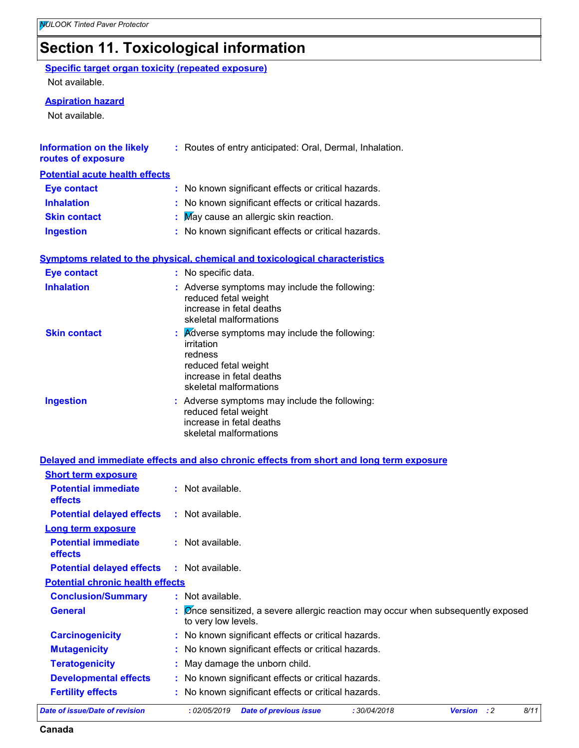# **Section 11. Toxicological information**

#### **Specific target organ toxicity (repeated exposure)**

Not available.

#### **Aspiration hazard**

Not available.

| <b>Information on the likely</b> | : Routes of entry anticipated: Oral, Dermal, Inhalation. |
|----------------------------------|----------------------------------------------------------|
| routes of exposure               |                                                          |

#### **Potential acute health effects**

| Eye contact         | : No known significant effects or critical hazards. |
|---------------------|-----------------------------------------------------|
| <b>Inhalation</b>   | : No known significant effects or critical hazards. |
| <b>Skin contact</b> | $\therefore$ May cause an allergic skin reaction.   |
| <b>Ingestion</b>    | : No known significant effects or critical hazards. |

|  |  | <u>Symptoms related to the physical, chemical and toxicological characteristics</u> |
|--|--|-------------------------------------------------------------------------------------|
|  |  |                                                                                     |

| <b>Eye contact</b>  | : No specific data.                                                                                                                                                    |  |
|---------------------|------------------------------------------------------------------------------------------------------------------------------------------------------------------------|--|
| <b>Inhalation</b>   | : Adverse symptoms may include the following:<br>reduced fetal weight<br>increase in fetal deaths<br>skeletal malformations                                            |  |
| <b>Skin contact</b> | $\mathbf{R}$ <i>Adverse symptoms may include the following:</i><br>irritation<br>redness<br>reduced fetal weight<br>increase in fetal deaths<br>skeletal malformations |  |
| <b>Ingestion</b>    | : Adverse symptoms may include the following:<br>reduced fetal weight<br>increase in fetal deaths<br>skeletal malformations                                            |  |

#### **Delayed and immediate effects and also chronic effects from short and long term exposure**

| <b>Short term exposure</b>                                                                                                                        |                                                     |                                                                                              |  |  |  |  |
|---------------------------------------------------------------------------------------------------------------------------------------------------|-----------------------------------------------------|----------------------------------------------------------------------------------------------|--|--|--|--|
| <b>Potential immediate</b><br><b>effects</b>                                                                                                      |                                                     | $\therefore$ Not available.                                                                  |  |  |  |  |
| <b>Potential delayed effects</b>                                                                                                                  |                                                     | $\therefore$ Not available.                                                                  |  |  |  |  |
| <b>Long term exposure</b>                                                                                                                         |                                                     |                                                                                              |  |  |  |  |
| <b>Potential immediate</b><br><b>effects</b>                                                                                                      |                                                     | $:$ Not available.                                                                           |  |  |  |  |
| <b>Potential delayed effects</b><br>$:$ Not available.                                                                                            |                                                     |                                                                                              |  |  |  |  |
| <b>Potential chronic health effects</b>                                                                                                           |                                                     |                                                                                              |  |  |  |  |
| <b>Conclusion/Summary</b>                                                                                                                         |                                                     | $:$ Not available.                                                                           |  |  |  |  |
| $\mathbb E$ $\mathcal D$ once sensitized, a severe allergic reaction may occur when subsequently exposed<br><b>General</b><br>to very low levels. |                                                     |                                                                                              |  |  |  |  |
| <b>Carcinogenicity</b>                                                                                                                            |                                                     | : No known significant effects or critical hazards.                                          |  |  |  |  |
| <b>Mutagenicity</b>                                                                                                                               | : No known significant effects or critical hazards. |                                                                                              |  |  |  |  |
| <b>Teratogenicity</b><br>: May damage the unborn child.                                                                                           |                                                     |                                                                                              |  |  |  |  |
| <b>Developmental effects</b>                                                                                                                      |                                                     | : No known significant effects or critical hazards.                                          |  |  |  |  |
| <b>Fertility effects</b>                                                                                                                          |                                                     | : No known significant effects or critical hazards.                                          |  |  |  |  |
| Date of issue/Date of revision                                                                                                                    |                                                     | 8/11<br>: 02/05/2019<br><b>Date of previous issue</b><br>:30/04/2018<br><b>Version</b><br>:2 |  |  |  |  |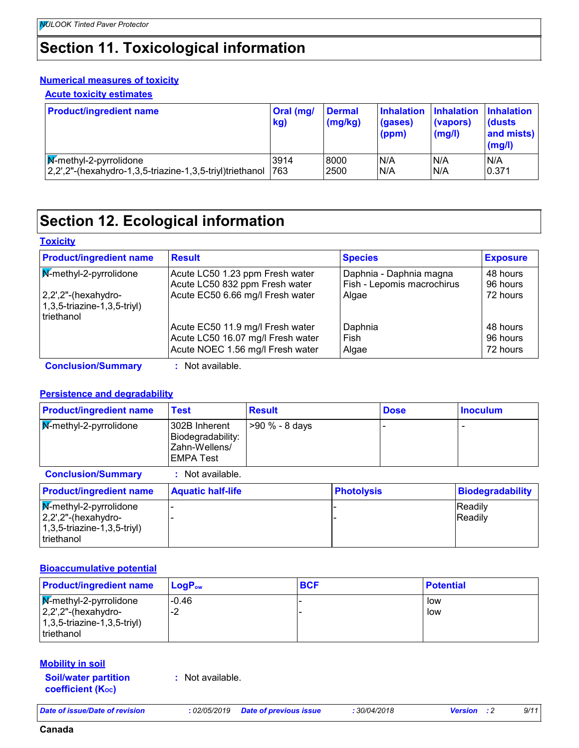# **Section 11. Toxicological information**

#### **Numerical measures of toxicity**

#### **Acute toxicity estimates**

| <b>Product/ingredient name</b>                               | Oral (mg/<br>kg) | <b>Dermal</b><br>(mg/kg) | (gases)<br>(ppm) | Inhalation Inhalation Inhalation<br>(vapors)<br>(mg/l) | <b>(dusts)</b><br>and mists)<br>(mg/l) |
|--------------------------------------------------------------|------------------|--------------------------|------------------|--------------------------------------------------------|----------------------------------------|
| $\sqrt{\mathsf{M}}$ -methyl-2-pyrrolidone                    | 3914             | 8000                     | N/A              | N/A                                                    | N/A                                    |
| $ 2,2$ ",2"-(hexahydro-1,3,5-triazine-1,3,5-triyl)triethanol | 1763             | 2500                     | N/A              | N/A                                                    | 0.371                                  |

# **Section 12. Ecological information**

#### **Toxicity**

| <b>Product/ingredient name</b>                                         | <b>Result</b>                                                     | <b>Species</b>                                        | <b>Exposure</b>      |
|------------------------------------------------------------------------|-------------------------------------------------------------------|-------------------------------------------------------|----------------------|
| M-methyl-2-pyrrolidone                                                 | Acute LC50 1.23 ppm Fresh water<br>Acute LC50 832 ppm Fresh water | Daphnia - Daphnia magna<br>Fish - Lepomis macrochirus | 48 hours<br>96 hours |
| $ 2,2$ ',2"-(hexahydro-<br>$(1,3,5-triangle-1,3,5-triv)$<br>triethanol | Acute EC50 6.66 mg/l Fresh water                                  | Algae                                                 | 72 hours             |
|                                                                        | Acute EC50 11.9 mg/l Fresh water                                  | Daphnia                                               | 48 hours             |
|                                                                        | Acute LC50 16.07 mg/l Fresh water                                 | Fish                                                  | 96 hours             |
|                                                                        | Acute NOEC 1.56 mg/l Fresh water                                  | Algae                                                 | 72 hours             |

**Conclusion/Summary :** Not available.

#### **Persistence and degradability**

| <b>Product/ingredient name</b>                                                                          | <b>Test</b>                                                             | <b>Result</b>  |                   | <b>Dose</b> | <b>Inoculum</b>         |
|---------------------------------------------------------------------------------------------------------|-------------------------------------------------------------------------|----------------|-------------------|-------------|-------------------------|
| <b>M-methyl-2-pyrrolidone</b>                                                                           | 302B Inherent<br>Biodegradability:<br>Zahn-Wellens/<br><b>EMPA Test</b> | >90 % - 8 days |                   |             |                         |
| <b>Conclusion/Summary</b>                                                                               | Not available.                                                          |                |                   |             |                         |
| <b>Product/ingredient name</b>                                                                          | <b>Aquatic half-life</b>                                                |                | <b>Photolysis</b> |             | <b>Biodegradability</b> |
| <b>M-methyl-2-pyrrolidone</b><br>$2,2$ ',2"-(hexahydro-<br>$(1,3,5\text{-}triazine-1,3,5\text{-}trivl)$ |                                                                         |                |                   |             | Readily<br>Readily      |

#### **Bioaccumulative potential**

| <b>Product/ingredient name</b>                                                                                                       | $\mathsf{LogP}_\mathsf{ow}$ | <b>BCF</b> | <b>Potential</b> |
|--------------------------------------------------------------------------------------------------------------------------------------|-----------------------------|------------|------------------|
| $\sqrt{\mathbf{M}}$ -methyl-2-pyrrolidone<br>$ 2,2$ ',2"-(hexahydro-<br>$(1,3,5\text{-}triazine-1,3,5\text{-}trivl)$<br>I triethanol | $-0.46$<br>-2               |            | low<br>low       |

#### **Mobility in soil**

triethanol

**Soil/water partition coefficient (Koc)** 

**:** Not available.

*Date of issue/Date of revision* **:** *02/05/2019 Date of previous issue : 30/04/2018 Version : 2 9/11*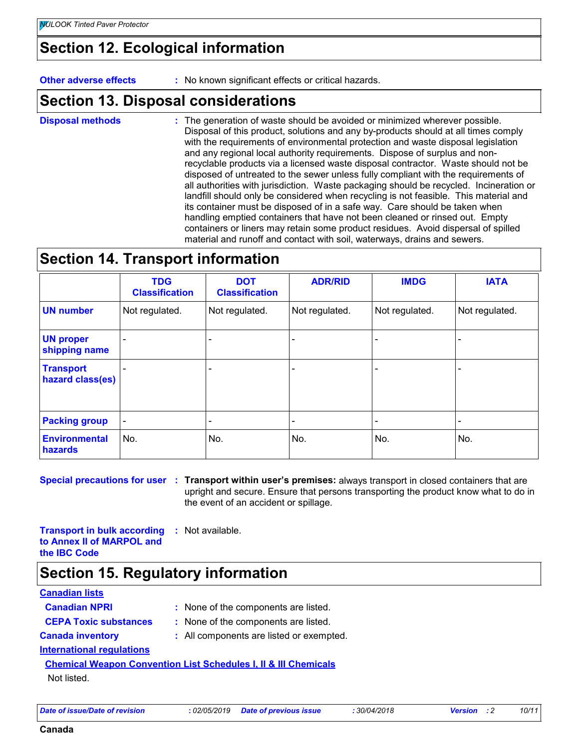### **Section 12. Ecological information**

**Other adverse effects** : No known significant effects or critical hazards.

# **Section 13. Disposal considerations**

The generation of waste should be avoided or minimized wherever possible. Disposal of this product, solutions and any by-products should at all times comply with the requirements of environmental protection and waste disposal legislation and any regional local authority requirements. Dispose of surplus and nonrecyclable products via a licensed waste disposal contractor. Waste should not be disposed of untreated to the sewer unless fully compliant with the requirements of all authorities with jurisdiction. Waste packaging should be recycled. Incineration or landfill should only be considered when recycling is not feasible. This material and its container must be disposed of in a safe way. Care should be taken when handling emptied containers that have not been cleaned or rinsed out. Empty containers or liners may retain some product residues. Avoid dispersal of spilled material and runoff and contact with soil, waterways, drains and sewers. **Disposal methods :**

### **Section 14. Transport information**

|                                      | <b>TDG</b><br><b>Classification</b> | <b>DOT</b><br><b>Classification</b> | <b>ADR/RID</b> | <b>IMDG</b>    | <b>IATA</b>    |
|--------------------------------------|-------------------------------------|-------------------------------------|----------------|----------------|----------------|
| <b>UN number</b>                     | Not regulated.                      | Not regulated.                      | Not regulated. | Not regulated. | Not regulated. |
| <b>UN proper</b><br>shipping name    |                                     |                                     |                |                |                |
| <b>Transport</b><br>hazard class(es) |                                     | $\overline{\phantom{0}}$            |                |                |                |
| <b>Packing group</b>                 | $\blacksquare$                      | $\overline{\phantom{a}}$            |                |                |                |
| <b>Environmental</b><br>hazards      | No.                                 | No.                                 | No.            | No.            | No.            |

**Special precautions for user Transport within user's premises:** always transport in closed containers that are **:** upright and secure. Ensure that persons transporting the product know what to do in the event of an accident or spillage.

**Transport in bulk according :** Not available. **to Annex II of MARPOL and the IBC Code**

### **Section 15. Regulatory information**

| <b>Canadian lists</b>            |                                                                            |
|----------------------------------|----------------------------------------------------------------------------|
| <b>Canadian NPRI</b>             | : None of the components are listed.                                       |
| <b>CEPA Toxic substances</b>     | : None of the components are listed.                                       |
| <b>Canada inventory</b>          | : All components are listed or exempted.                                   |
| <b>International regulations</b> |                                                                            |
|                                  | <b>Chemical Weapon Convention List Schedules I, II &amp; III Chemicals</b> |
| Not listed.                      |                                                                            |
|                                  |                                                                            |

*Date of issue/Date of revision* **:** *02/05/2019 Date of previous issue : 30/04/2018 Version : 2 10/11*